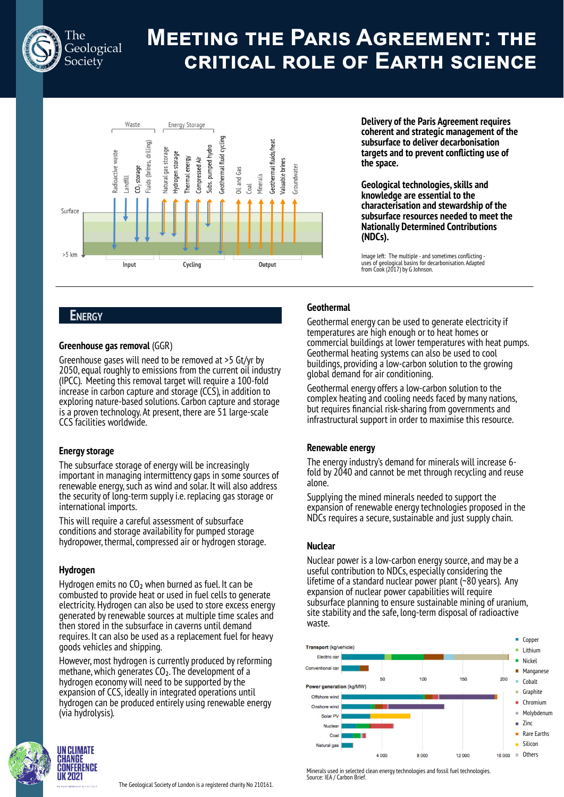

# **MEETING THE PARIS AGREEMENT: THE CRITICAL ROLE OF EARTH SCIENCE**



**Delivery of the Paris Agreement requires coherent and strategic management of the subsurface to deliver decarbonisation targets and to prevent conflicting use of the space.**

**Geological technologies, skills and knowledge are essential to the characterisation and stewardship of the subsurface resources needed to meet the Nationally Determined Contributions (NDCs).**

Image left: The multiple - and sometimes conflicting - uses of geological basins for decarbonisation. Adapted from Cook (2017) by G Johnson.

## **ENERGY**

## **Greenhouse gas removal** (GGR)

Greenhouse gases will need to be removed at >5 Gt/yr by 2050, equal roughly to emissions from the current oil industry (IPCC). Meeting this removal target will require a 100-fold increase in carbon capture and storage (CCS), in addition to exploring nature-based solutions. Carbon capture and storage is a proven technology. At present, there are 51 large-scale CCS facilities worldwide.

## **Energy storage**

The subsurface storage of energy will be increasingly important in managing intermittency gaps in some sources of renewable energy, such as wind and solar. It will also address the security of long-term supply i.e. replacing gas storage or international imports.

This will require a careful assessment of subsurface conditions and storage availability for pumped storage hydropower, thermal, compressed air or hydrogen storage.

## **Hydrogen**

Hydrogen emits no CO<sub>2</sub> when burned as fuel. It can be combusted to provide heat or used in fuel cells to generate electricity. Hydrogen can also be used to store excess energy generated by renewable sources at multiple time scales and then stored in the subsurface in caverns until demand requires. It can also be used as a replacement fuel for heavy goods vehicles and shipping.

However, most hydrogen is currently produced by reforming methane, which generates  $CO<sub>2</sub>$ . The development of a hydrogen economy will need to be supported by the expansion of CCS, ideally in integrated operations until hydrogen can be produced entirely using renewable energy (via hydrolysis).



The Geological Society of London is a registered charity No 210161.

**Geothermal**

Geothermal energy can be used to generate electricity if temperatures are high enough or to heat homes or commercial buildings at lower temperatures with heat pumps. Geothermal heating systems can also be used to cool buildings, providing a low-carbon solution to the growing global demand for air conditioning.

Geothermal energy offers a low-carbon solution to the complex heating and cooling needs faced by many nations, but requires financial risk-sharing from governments and infrastructural support in order to maximise this resource.

## **Renewable energy**

The energy industry's demand for minerals will increase 6 fold by 2040 and cannot be met through recycling and reuse alone.

Supplying the mined minerals needed to support the expansion of renewable energy technologies proposed in the NDCs requires a secure, sustainable and just supply chain.

## **Nuclear**

Nuclear power is a low-carbon energy source, and may be a useful contribution to NDCs, especially considering the lifetime of a standard nuclear power plant (~80 years). Any expansion of nuclear power capabilities will require subsurface planning to ensure sustainable mining of uranium, site stability and the safe, long-term disposal of radioactive waste.



Minerals used in selected clean energy technologies and fossil fuel technologies. Source: IEA / Carbon Brief.